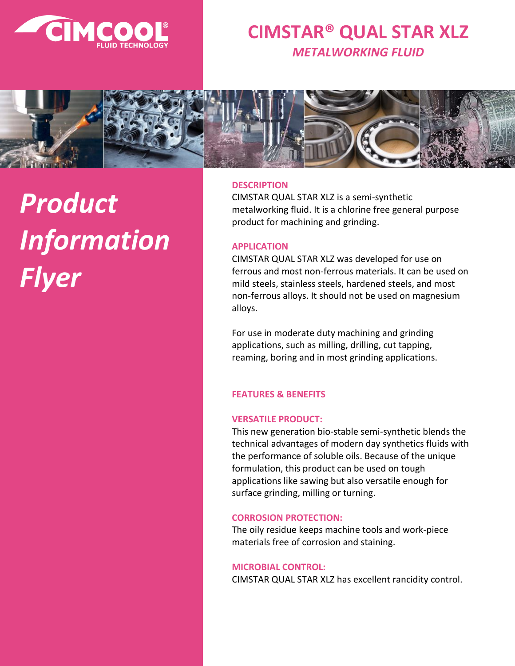

### **CIMSTAR® QUAL STAR XLZ** *METALWORKING FLUID*



# *Product Information Flyer*

#### **DESCRIPTION**

CIMSTAR QUAL STAR XLZ is a semi-synthetic metalworking fluid. It is a chlorine free general purpose product for machining and grinding.

#### **APPLICATION**

CIMSTAR QUAL STAR XLZ was developed for use on ferrous and most non-ferrous materials. It can be used on mild steels, stainless steels, hardened steels, and most non-ferrous alloys. It should not be used on magnesium alloys.

For use in moderate duty machining and grinding applications, such as milling, drilling, cut tapping, reaming, boring and in most grinding applications.

#### **FEATURES & BENEFITS**

#### **VERSATILE PRODUCT:**

This new generation bio-stable semi-synthetic blends the technical advantages of modern day synthetics fluids with the performance of soluble oils. Because of the unique formulation, this product can be used on tough applications like sawing but also versatile enough for surface grinding, milling or turning.

#### **CORROSION PROTECTION:**

The oily residue keeps machine tools and work-piece materials free of corrosion and staining.

#### **MICROBIAL CONTROL:**

CIMSTAR QUAL STAR XLZ has excellent rancidity control.